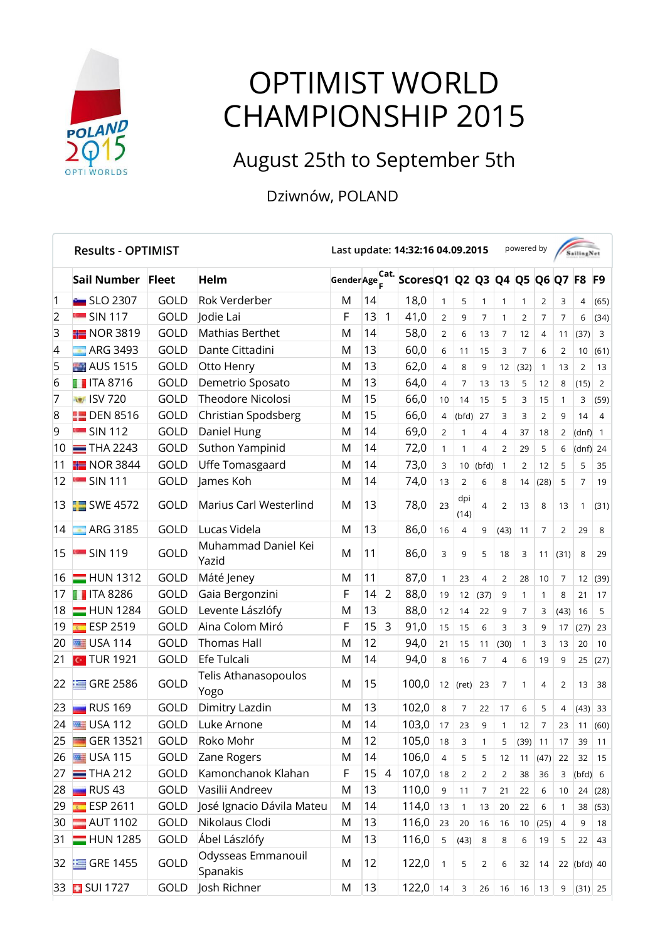

## OPTIMIST WORLD CHAMPIONSHIP 2015

## August 25th to September 5th

## Dziwnów, POLAND

|                | <b>Results - OPTIMIST</b> |              |                                |                 |    |                | Last update: 14:32:16 04.09.2015 |                |                |                |                | powered by     |                |                | <b>SailingNet</b> |                |
|----------------|---------------------------|--------------|--------------------------------|-----------------|----|----------------|----------------------------------|----------------|----------------|----------------|----------------|----------------|----------------|----------------|-------------------|----------------|
|                | Sail Number               | <b>Fleet</b> | Helm                           | Gender Age Cat. |    |                | Scores Q1 Q2 Q3 Q4 Q5 Q6 Q7 F8   |                |                |                |                |                |                |                |                   | F <sub>9</sub> |
| $\mathbf 1$    | <b>External SLO 2307</b>  | GOLD         | <b>Rok Verderber</b>           | M               | 14 |                | 18,0                             | $\mathbf{1}$   | 5              | $\mathbf{1}$   | 1              | 1              | $\overline{2}$ | 3              | 4                 | (65)           |
| $\overline{2}$ | <b>SIN 117</b>            | GOLD         | Jodie Lai                      | F               | 13 | 1              | 41,0                             | $\overline{2}$ | 9              | $\overline{7}$ | $\mathbf{1}$   | $\overline{2}$ | $\overline{7}$ | $\overline{7}$ | 6                 | (34)           |
| 3              | $\blacksquare$ NOR 3819   | GOLD         | Mathias Berthet                | M               | 14 |                | 58,0                             | $\overline{2}$ | 6              | 13             | $\overline{7}$ | 12             | 4              | 11             | (37)              | $\mathbf{3}$   |
| 4              | <b>ARG 3493</b>           | GOLD         | Dante Cittadini                | M               | 13 |                | 60,0                             | 6              | 11             | 15             | 3              | $\overline{7}$ | 6              | 2              | 10                | (61)           |
| 5              | <b>AUS</b> 1515           | GOLD         | Otto Henry                     | M               | 13 |                | 62,0                             | $\overline{4}$ | 8              | 9              | 12             | (32)           | 1              | 13             | 2                 | 13             |
| 6              | $\blacksquare$ ITA 8716   | GOLD         | Demetrio Sposato               | M               | 13 |                | 64,0                             | $\overline{4}$ | $\overline{7}$ | 13             | 13             | 5              | 12             | 8              | (15)              | $\overline{2}$ |
| 7              | <b>Nov ISV 720</b>        | <b>GOLD</b>  | Theodore Nicolosi              | M               | 15 |                | 66,0                             | 10             | 14             | 15             | 5              | 3              | 15             | $\mathbf{1}$   | 3                 | (59)           |
| 8              | $\Box$ DEN 8516           | GOLD         | Christian Spodsberg            | M               | 15 |                | 66,0                             | $\overline{4}$ | (bfd)          | 27             | 3              | 3              | 2              | 9              | 14                | 4              |
| 9              | $\blacksquare$ SIN 112    | GOLD         | Daniel Hung                    | M               | 14 |                | 69,0                             | $\overline{2}$ | 1              | $\overline{4}$ | 4              | 37             | 18             | 2              | (dnf)             | $\mathbf{1}$   |
| 10             | $=$ THA 2243              | GOLD         | Suthon Yampinid                | M               | 14 |                | 72,0                             | $\mathbf{1}$   | 1              | 4              | $\overline{2}$ | 29             | 5              | 6              | (dnf)             | 24             |
| 11             | $\frac{1}{2}$ NOR 3844    | GOLD         | Uffe Tomasgaard                | M               | 14 |                | 73,0                             | 3              | 10             | (bfd)          | $\mathbf{1}$   | 2              | 12             | 5              | 5                 | 35             |
| 12             | $\blacksquare$ SIN 111    | GOLD         | James Koh                      | M               | 14 |                | 74,0                             | 13             | $\overline{2}$ | 6              | 8              | 14             | (28)           | 5              | 7                 | 19             |
|                | 13 SWE 4572               | GOLD         | Marius Carl Westerlind         | M               | 13 |                | 78,0                             | 23             | dpi<br>(14)    | 4              | 2              | 13             | 8              | 13             | 1                 | (31)           |
| 14             | <b>ARG 3185</b>           | GOLD         | Lucas Videla                   | M               | 13 |                | 86,0                             | 16             | 4              | 9              | (43)           | 11             | $\overline{7}$ | 2              | 29                | 8              |
| 15             | $\blacksquare$ SIN 119    | GOLD         | Muhammad Daniel Kei<br>Yazid   | M               | 11 |                | 86,0                             | 3              | 9              | 5              | 18             | 3              | 11             | (31)           | 8                 | 29             |
| 16             | $=$ HUN 1312              | GOLD         | Máté Jeney                     | M               | 11 |                | 87,0                             | $\mathbf{1}$   | 23             | $\overline{4}$ | 2              | 28             | 10             | $\overline{7}$ | 12                | (39)           |
| 17             | <b>T</b> ITA 8286         | GOLD         | Gaia Bergonzini                | F               | 14 | $\overline{2}$ | 88,0                             | 19             | 12             | (37)           | 9              | $\mathbf{1}$   | 1              | 8              | 21                | 17             |
| 18             | $=$ HUN 1284              | GOLD         | Levente Lászlófy               | M               | 13 |                | 88,0                             | 12             | 14             | 22             | 9              | $\overline{7}$ | 3              | (43)           | 16                | 5              |
| 19             | ESP 2519                  | <b>GOLD</b>  | Aina Colom Miró                | F               | 15 | 3              | 91,0                             | 15             | 15             | 6              | 3              | 3              | 9              | 17             | (27)              | 23             |
| 20             | <b>EDSA 114</b>           | GOLD         | <b>Thomas Hall</b>             | M               | 12 |                | 94,0                             | 21             | 15             | 11             | (30)           | 1              | 3              | 13             | 20                | 10             |
| 21             | <b>C</b> TUR 1921         | GOLD         | Efe Tulcali                    | M               | 14 |                | 94,0                             | 8              | 16             | $\overline{7}$ | 4              | 6              | 19             | 9              | 25                | (27)           |
| 22             | $\equiv$ GRE 2586         | <b>GOLD</b>  | Telis Athanasopoulos<br>Yogo   | M               | 15 |                | 100,0                            | 12             | (ret)          | 23             | 7              | 1              | 4              | 2              | 13                | 38             |
| 23             | RUS 169                   | GOLD         | Dimitry Lazdin                 | M               | 13 |                | 102,0                            | 8              | $\overline{7}$ | 22             | 17             | 6              | 5              | $\overline{4}$ | (43)              | 33             |
| 24             | <b>USA 112</b>            | GOLD         | Luke Arnone                    | M               | 14 |                | 103,0                            | 17             | 23             | 9              | 1              | 12             | 7              | 23             | 11                | (60)           |
| 25             | GER 13521<br>国語           | <b>GOLD</b>  | Roko Mohr                      | M               | 12 |                | 105,0                            | 18             | 3              | $\mathbf{1}$   | 5              | $(39)$ 11      |                | 17             | 39                | 11             |
| 26             | <b>EDSA 115</b>           | GOLD         | Zane Rogers                    | M               | 14 |                | 106,0                            | 4              | 5              | 5              | 12             | 11             | (47)           | 22             | 32                | 15             |
| 27             | $=$ THA 212               | GOLD         | Kamonchanok Klahan             | F               | 15 | $\overline{4}$ | 107,0                            | 18             | $\overline{2}$ | $\overline{2}$ | 2              | 38             | 36             | 3              | (bfd) 6           |                |
| 28             | <b>RUS 43</b>             | GOLD         | Vasilii Andreev                | M               | 13 |                | 110,0                            | 9              | 11             | 7              | 21             | 22             | 6              | 10             | 24                | (28)           |
| 29             | ESP 2611                  | GOLD         | José Ignacio Dávila Mateu      | M               | 14 |                | 114,0                            | 13             | $\mathbf{1}$   | 13             | 20             | 22             | 6              | $\mathbf{1}$   | 38                | (53)           |
| 30             | $\blacksquare$ AUT 1102   | GOLD         | Nikolaus Clodi                 | M               | 13 |                | 116,0                            | 23             | 20             | 16             | 16             | 10             | (25)           | $\overline{4}$ | 9                 | 18             |
| 31             | $=$ HUN 1285              | GOLD         | Ábel Lászlófy                  | M               | 13 |                | 116,0                            | 5              | (43)           | 8              | 8              | 6              | 19             | 5              | 22                | 43             |
|                | 32 GRE 1455               | GOLD         | Odysseas Emmanouil<br>Spanakis | M               | 12 |                | 122,0                            | $\mathbf{1}$   | 5              | $\overline{2}$ | 6              | 32             | 14             |                | $22$ (bfd) 40     |                |
|                | 33 SUI 1727               | GOLD         | Josh Richner                   | M               | 13 |                | 122,0                            | 14             | 3              | 26             | 16             | 16             | 13             | 9              |                   | (31) 25        |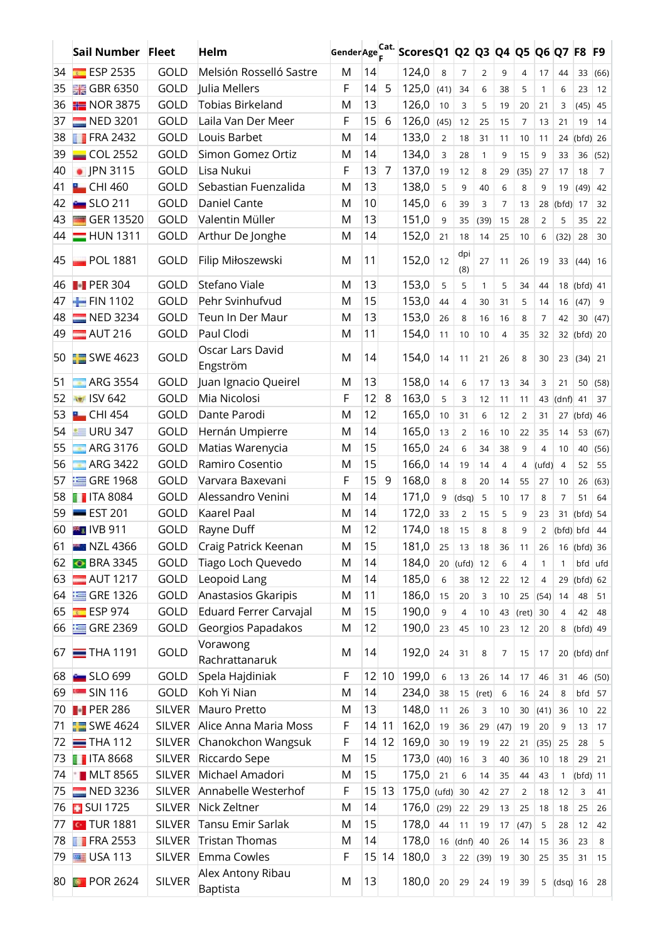|    | Sail Number Fleet       |               | Helm                          |   |    |       | Gender Age Cat. Scores Q1 Q2 Q3 Q4 Q5 Q6 Q7 F8 |            |                |                |                |       |                |                |             | F9             |
|----|-------------------------|---------------|-------------------------------|---|----|-------|------------------------------------------------|------------|----------------|----------------|----------------|-------|----------------|----------------|-------------|----------------|
| 34 | ESP 2535                | <b>GOLD</b>   | Melsión Rosselló Sastre       | M | 14 |       | 124,0                                          | 8          | $\overline{7}$ | $\overline{2}$ | 9              | 4     | 17             | 44             | 33          | (66)           |
| 35 | <b>HE GBR 6350</b>      | GOLD          | Julia Mellers                 | F | 14 | 5     | 125,0                                          | (41)       | 34             | 6              | 38             | 5     | $\mathbf{1}$   | 6              | 23          | 12             |
| 36 | $NOR$ 3875              | GOLD          | <b>Tobias Birkeland</b>       | M | 13 |       | 126,0                                          | 10         | 3              | 5              | 19             | 20    | 21             | 3              | (45)        | 45             |
| 37 | $NED$ 3201              | GOLD          | Laila Van Der Meer            | F | 15 | 6     | 126,0                                          | (45)       | 12             | 25             | 15             | 7     | 13             | 21             | 19          | 14             |
| 38 | $\blacksquare$ FRA 2432 | GOLD          | Louis Barbet                  | M | 14 |       | 133,0                                          | 2          | 18             | 31             | 11             | 10    | 11             | 24             | $(bfd)$ 26  |                |
| 39 | $\Box$ COL 2552         | GOLD          | Simon Gomez Ortiz             | М | 14 |       | 134,0                                          | 3          | 28             | $\mathbf{1}$   | 9              | 15    | 9              | 33             | 36          | (52)           |
| 40 | • JPN 3115              | GOLD          | Lisa Nukui                    | F | 13 | 7     | 137,0                                          | 19         | 12             | 8              | 29             | (35)  | 27             | 17             | 18          | $\overline{7}$ |
| 41 | $\blacksquare$ CHI 460  | GOLD          | Sebastian Fuenzalida          | M | 13 |       | 138,0                                          | 5          | 9              | 40             | 6              | 8     | 9              | 19             | (49)        | 42             |
| 42 | $SLO$ 211               | GOLD          | Daniel Cante                  | M | 10 |       | 145,0                                          | 6          | 39             | 3              | $\overline{7}$ | 13    | 28             | (bfd)          | 17          | 32             |
| 43 | GER 13520               | GOLD          | Valentin Müller               | M | 13 |       | 151,0                                          | 9          | 35             | (39)           | 15             | 28    | $\overline{2}$ | 5              | 35          | 22             |
|    | 44 <b>HUN 1311</b>      | GOLD          | Arthur De Jonghe              | M | 14 |       | 152,0                                          | 21         | 18             | 14             | 25             | 10    | 6              | (32)           | 28          | 30             |
| 45 | $\blacksquare$ POL 1881 | GOLD          | Filip Miłoszewski             | М | 11 |       | 152,0                                          | 12         | dpi<br>(8)     | 27             | 11             | 26    | 19             | 33             | (44)        | 16             |
| 46 | <b>PER 304</b>          | GOLD          | Stefano Viale                 | M | 13 |       | 153,0                                          | 5          | 5              | 1              | 5              | 34    | 44             | 18             | $(bfd)$ 41  |                |
| 47 | $-$ FIN 1102            | GOLD          | Pehr Svinhufvud               | M | 15 |       | 153,0                                          | 44         | $\overline{4}$ | 30             | 31             | 5     | 14             | 16             | (47)        | 9              |
| 48 | $NED$ 3234              | GOLD          | Teun In Der Maur              | M | 13 |       | 153,0                                          | 26         | 8              | 16             | 16             | 8     | $\overline{7}$ | 42             | 30          | (47)           |
| 49 | $M$ AUT 216             | GOLD          | Paul Clodi                    | M | 11 |       | 154,0                                          | 11         | 10             | 10             | $\overline{4}$ | 35    | 32             |                | 32 (bfd) 20 |                |
|    | 50 SWE 4623             | GOLD          | Oscar Lars David<br>Engström  | M | 14 |       | 154,0                                          | 14         | 11             | 21             | 26             | 8     | 30             | 23             | (34)        | 21             |
| 51 | <b>ARG 3554</b>         | GOLD          | Juan Ignacio Queirel          | M | 13 |       | 158,0                                          | 14         | 6              | 17             | 13             | 34    | 3              | 21             | 50          | (58)           |
| 52 | <b>NET ISV 642</b>      | GOLD          | Mia Nicolosi                  | F | 12 | 8     | 163,0                                          | 5          | 3              | 12             | 11             | 11    | 43             | $(dnf)$ 41     |             | 37             |
| 53 | $\blacksquare$ CHI 454  | GOLD          | Dante Parodi                  | M | 12 |       | 165,0                                          | 10         | 31             | 6              | 12             | 2     | 31             | 27             | $(bfd)$ 46  |                |
| 54 | $\equiv$ URU 347        | GOLD          | Hernán Umpierre               | M | 14 |       | 165,0                                          | 13         | $\overline{2}$ | 16             | 10             | 22    | 35             | 14             | 53          | (67)           |
| 55 | $-$ ARG 3176            | GOLD          | Matias Warenycia              | M | 15 |       | 165,0                                          | 24         | 6              | 34             | 38             | 9     | 4              | 10             | 40          | (56)           |
| 56 | $ARG$ 3422              | GOLD          | Ramiro Cosentio               | M | 15 |       | 166,0                                          | 14         | 19             | 14             | $\overline{4}$ | 4     | (ufd)          | $\overline{4}$ | 52          | 55             |
| 57 | $\equiv$ GRE 1968       | GOLD          | Varvara Baxevani              | F | 15 | 9     | 168,0                                          | 8          | 8              | 20             | 14             | 55    | 27             | 10             | 26          | (63)           |
| 58 | <b>T</b> ITA 8084       | GOLD          | Alessandro Venini             | M | 14 |       | 171,0                                          | 9          | (dsq)          | 5              | 10             | 17    | 8              | 7              | 51          | 64             |
| 59 | <b>EST 201</b>          | GOLD          | <b>Kaarel Paal</b>            | M | 14 |       | 172,0                                          | 33         | 2              | 15             | 5              | 9     | 23             | 31             | (bfd)       | -54            |
| 60 | <sup>₩</sup> ∎IVB 911   | GOLD          | Rayne Duff                    | M | 12 |       | 174,0                                          | 18         | 15             | 8              | 8              | 9     | 2              | (bfd) bfd      |             | 44             |
| 61 | <b>NZL 4366</b>         | GOLD          | Craig Patrick Keenan          | M | 15 |       | 181,0                                          | 25         | 13             | 18             | 36             | 11    | 26             |                | 16 (bfd) 36 |                |
| 62 | <b>BRA 3345</b>         | GOLD          | Tiago Loch Quevedo            | M | 14 |       | 184,0                                          | 20         | (ufd)          | 12             | 6              | 4     | $\mathbf{1}$   | 1              | bfd ufd     |                |
| 63 | $\blacksquare$ AUT 1217 | GOLD          | Leopoid Lang                  | M | 14 |       | 185,0                                          | 6          | 38             | 12             | 22             | 12    | $\overline{4}$ | 29             | $(bfd)$ 62  |                |
| 64 | $\equiv$ GRE 1326       | GOLD          | Anastasios Gkaripis           | M | 11 |       | 186,0                                          | 15         | 20             | 3              | 10             | 25    | (54)           | 14             | 48          | 51             |
| 65 | <b>ESP 974</b>          | GOLD          | Eduard Ferrer Carvajal        | M | 15 |       | 190,0                                          | 9          | 4              | 10             | 43             | (ret) | 30             | 4              | 42          | 48             |
| 66 | $\equiv$ GRE 2369       | GOLD          | Georgios Papadakos            | M | 12 |       | 190,0                                          | 23         | 45             | 10             | 23             | 12    | 20             | 8              | (bfd) 49    |                |
|    | $67 \equiv$ THA 1191    | GOLD          | Vorawong<br>Rachrattanaruk    | M | 14 |       | 192,0                                          | 24         | 31             | 8              | 7              | 15    | 17             | 20             | (bfd) dnf   |                |
| 68 | <b>Extra</b> SLO 699    | GOLD          | Spela Hajdiniak               | F |    | 12 10 | 199,0                                          | 6          | 13             | 26             | 14             | 17    | 46             | 31             |             | $46$ (50)      |
| 69 | $\blacksquare$ SIN 116  | GOLD          | Koh Yi Nian                   | M | 14 |       | 234,0                                          | 38         | 15             | (ret)          | 6              | 16    | 24             | 8              | bfd         | 57             |
| 70 | $\blacksquare$ PER 286  | <b>SILVER</b> | Mauro Pretto                  | M | 13 |       | 148,0                                          | 11         | 26             | 3              | 10             | 30    | (41)           | 36             | 10          | 22             |
| 71 | $\blacksquare$ SWE 4624 | <b>SILVER</b> | Alice Anna Maria Moss         | F |    | 14 11 | 162,0                                          | 19         | 36             | 29             | (47)           | 19    | 20             | 9              | 13          | 17             |
| 72 | $=$ THA 112             | SILVER        | Chanokchon Wangsuk            | F | 4  | 12    | 169,0                                          | 30         | 19             | 19             | 22             | 21    | (35)           | 25             | 28          | 5              |
| 73 | <b>T</b> ITA 8668       | <b>SILVER</b> | Riccardo Sepe                 | M | 15 |       | 173,0                                          | (40)       | 16             | 3              | 40             | 36    | 10             | 18             | 29          | 21             |
| 74 | <b>MLT 8565</b>         | <b>SILVER</b> | Michael Amadori               | M | 15 |       | 175,0                                          | 21         | 6              | 14             | 35             | 44    | 43             | $\mathbf{1}$   | $(bfd)$ 11  |                |
| 75 | $NED$ 3236              | <b>SILVER</b> | Annabelle Westerhof           | F | 15 | 13    | 175,0                                          | $(ufd)$ 30 |                | 42             | 27             | 2     | 18             | 12             | 3           | 41             |
| 76 | <b>B</b> SUI 1725       | <b>SILVER</b> | Nick Zeltner                  | M | 14 |       | 176,0                                          | (29)       | 22             | 29             | 13             | 25    | 18             | 18             | 25          | 26             |
| 77 | <b>TUR 1881</b>         | <b>SILVER</b> | Tansu Emir Sarlak             | M | 15 |       | 178,0                                          | 44         | 11             | 19             | 17             | (47)  | 5              | 28             | 12          | 42             |
| 78 | $\blacksquare$ FRA 2553 | <b>SILVER</b> | <b>Tristan Thomas</b>         | M | 14 |       | 178,0                                          | 16         | (dnf)          | 40             | 26             | 14    | 15             | 36             | 23          | 8              |
| 79 | $\equiv$ USA 113        | <b>SILVER</b> | Emma Cowles                   | F | 15 | 14    | 180,0                                          | 3          | 22             | (39)           | 19             | 30    | 25             | 35             | 31          | 15             |
| 80 | <b>D</b> POR 2624       | <b>SILVER</b> | Alex Antony Ribau<br>Baptista | M | 13 |       | 180,0                                          | 20         | 29             | 24             | 19             | 39    | 5              | $(dsq)$ 16     |             | 28             |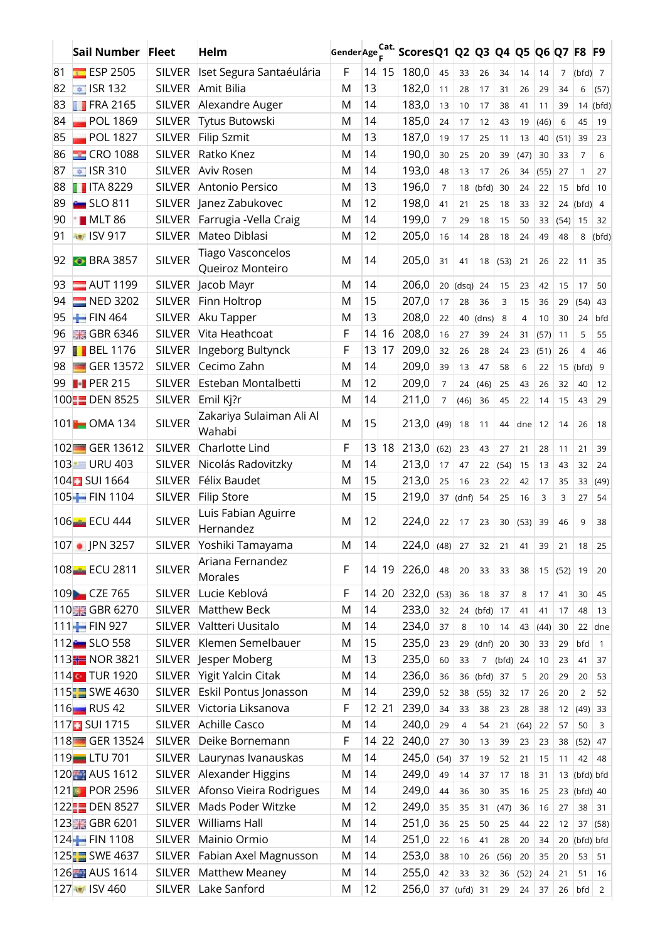|    | Sail Number Fleet       |               | Helm                               |           |    |         | GenderAge Cat. Scores Q1 Q2 Q3 Q4 Q5 Q6 Q7 F8 F9 |                |             |            |            |          |      |                |                |                |
|----|-------------------------|---------------|------------------------------------|-----------|----|---------|--------------------------------------------------|----------------|-------------|------------|------------|----------|------|----------------|----------------|----------------|
| 81 | ESP 2505                | <b>SILVER</b> | Iset Segura Santaéulária           | F         |    | 14 15   | 180,0                                            | 45             | 33          | 26         | 34         | 14       | 14   | $\overline{7}$ | $(bfd)$ 7      |                |
| 82 | $\approx$ ISR 132       | <b>SILVER</b> | Amit Bilia                         | M         | 13 |         | 182,0                                            | 11             | 28          | 17         | 31         | 26       | 29   | 34             | 6              | (57)           |
| 83 | $\blacksquare$ FRA 2165 | <b>SILVER</b> | Alexandre Auger                    | M         | 14 |         | 183,0                                            | 13             | 10          | 17         | 38         | 41       | 11   | 39             | 14             | (bfd)          |
| 84 | $\blacksquare$ POL 1869 | <b>SILVER</b> | Tytus Butowski                     | M         | 14 |         | 185,0                                            | 24             | 17          | 12         | 43         | 19       | (46) | 6              | 45             | 19             |
| 85 | $\blacksquare$ POL 1827 | <b>SILVER</b> | <b>Filip Szmit</b>                 | M         | 13 |         | 187,0                                            | 19             | 17          | 25         | 11         | 13       | 40   | (51)           | 39             | 23             |
| 86 | $R$ CRO 1088            | <b>SILVER</b> | Ratko Knez                         | M         | 14 |         | 190,0                                            | 30             | 25          | 20         | 39         | (47)     | 30   | 33             | 7              | 6              |
| 87 | ■ ISR 310               | <b>SILVER</b> | Aviv Rosen                         | M         | 14 |         | 193,0                                            | 48             | 13          | 17         | 26         | 34       | (55) | 27             | $\mathbf{1}$   | 27             |
| 88 | $\blacksquare$ ITA 8229 | <b>SILVER</b> | Antonio Persico                    | M         | 13 |         | 196,0                                            | $\overline{7}$ | 18          | (bfd)      | 30         | 24       | 22   | 15             | bfd            | 10             |
| 89 | <b>Eggs</b> SLO 811     | <b>SILVER</b> | Janez Zabukovec                    | M         | 12 |         | 198,0                                            | 41             | 21          | 25         | 18         | 33       | 32   | 24             | (bfd)          | $\overline{4}$ |
| 90 | MLT 86                  | <b>SILVER</b> | Farrugia - Vella Craig             | M         | 14 |         | 199,0                                            | $\overline{7}$ | 29          | 18         | 15         | 50       | 33   | (54)           | 15             | 32             |
| 91 | <b>USV</b> 917          | <b>SILVER</b> | Mateo Diblasi                      | M         | 12 |         | 205,0                                            | 16             | 14          | 28         | 18         | 24       | 49   | 48             | 8              | (bfd)          |
|    |                         |               | <b>Tiago Vasconcelos</b>           |           |    |         |                                                  |                |             |            |            |          |      |                |                |                |
| 92 | <b>BRA 3857</b>         | <b>SILVER</b> | Queiroz Monteiro                   | M         | 14 |         | 205,0                                            | 31             | 41          | 18         | (53)       | 21       | 26   | 22             | 11             | 35             |
| 93 | $\blacksquare$ AUT 1199 | <b>SILVER</b> | Jacob Mayr                         | M         | 14 |         | 206,0                                            | 20             | $(dsq)$ 24  |            | 15         | 23       | 42   | 15             | 17             | 50             |
| 94 | NED 3202                | <b>SILVER</b> | Finn Holtrop                       | M         | 15 |         | 207,0                                            | 17             | 28          | 36         | 3          | 15       | 36   | 29             | (54)           | 43             |
| 95 | $F/N$ 464               | <b>SILVER</b> | Aku Tapper                         | M         | 13 |         | 208,0                                            | 22             | 40          | (dns)      | 8          | 4        | 10   | 30             | 24             | bfd            |
| 96 | <b>HE GBR 6346</b>      | <b>SILVER</b> | Vita Heathcoat                     | F         | 14 | 16      | 208,0                                            | 16             | 27          | 39         | 24         | 31       | (57) | 11             | 5              | 55             |
| 97 | <b>BEL 1176</b>         | <b>SILVER</b> | Ingeborg Bultynck                  | F         | 13 | 17      | 209,0                                            | 32             | 26          | 28         | 24         | 23       | (51) | 26             | 4              | 46             |
| 98 | GER 13572               | <b>SILVER</b> | Cecimo Zahn                        | M         | 14 |         | 209,0                                            | 39             | 13          | 47         | 58         | 6        | 22   | 15             | (bfd)          | 9              |
|    | 99 <b>PER 215</b>       | <b>SILVER</b> | Esteban Montalbetti                | M         | 12 |         | 209,0                                            | $\overline{7}$ | 24          | (46)       | 25         | 43       | 26   | 32             | 40             | 12             |
|    | 100 DEN 8525            | <b>SILVER</b> | Emil Kj?r                          | M         | 14 |         | 211,0                                            | $\overline{7}$ | (46)        | 36         | 45         | 22       | 14   | 15             | 43             | 29             |
|    | 101 <b>1</b> OMA 134    | <b>SILVER</b> | Zakariya Sulaiman Ali Al           | M         | 15 |         | 213,0                                            |                |             |            |            |          |      |                |                |                |
|    |                         |               | Wahabi                             |           |    |         |                                                  | $(49)$ 18      |             | 11         | 44         | dne $12$ |      | 14             | 26             | 18             |
|    | 102 GER 13612           | <b>SILVER</b> | Charlotte Lind                     | F         | 13 | 18      | 213,0                                            | (62)           | 23          | 43         | 27         | 21       | 28   | 11             | 21             | 39             |
|    | 103 URU 403             | <b>SILVER</b> | Nicolás Radovitzky                 | M         | 14 |         | 213,0                                            | 17             | 47          | 22         | (54)       | 15       | 13   | 43             | 32             | 24             |
|    | 104 SUI 1664            | <b>SILVER</b> | Félix Baudet                       | M         | 15 |         | 213,0                                            | 25             | 16          | 23         | 22         | 42       | 17   | 35             | 33             | (49)           |
|    | 105- FIN 1104           | <b>SILVER</b> | <b>Filip Store</b>                 | M         | 15 |         | 219,0                                            | 37             | (dnf)       | 54         | 25         | 16       | 3    | 3              | 27             | 54             |
|    | 106 ECU 444             | <b>SILVER</b> | Luis Fabian Aguirre<br>Hernandez   | M         | 12 |         | 224,0                                            | 22             | 17          | 23         | 30         | (53)     | 39   | 46             | 9              | 38             |
|    | 107 • JPN 3257          | <b>SILVER</b> | Yoshiki Tamayama                   | ${\sf M}$ | 14 |         | $224,0$ (48) 27                                  |                |             | 32         | 21         | 41       | 39   | 21             | 18             | 25             |
|    | 108 ECU 2811            | <b>SILVER</b> | Ariana Fernandez<br><b>Morales</b> | F         |    | 14 19   | 226,0                                            | 48             | 20          | 33         | 33         | 38       | 15   | (52) 19        |                | 20             |
|    | 109 CZE 765             | <b>SILVER</b> | Lucie Keblová                      | F         |    | 14 20   | 232,0                                            | (53) 36        |             | 18         | 37         | 8        | 17   | 41             | 30             | 45             |
|    | 110 GBR 6270            | <b>SILVER</b> | <b>Matthew Beck</b>                | M         | 14 |         | 233,0                                            | 32             | 24          | (bfd)      | 17         | 41       | 41   | 17             | 48             | 13             |
|    | 111 FIN 927             | <b>SILVER</b> | Valtteri Uusitalo                  | M         | 14 |         | 234,0                                            | 37             | 8           | 10         | 14         | 43       | (44) | 30             | 22             | dne            |
|    | 112 SLO 558             | <b>SILVER</b> | Klemen Semelbauer                  | M         | 15 |         | 235,0                                            | 23             | 29          | $(dnf)$ 20 |            | 30       | 33   | 29             | bfd            | $\mathbf{1}$   |
|    | 113 NOR 3821            | <b>SILVER</b> | lesper Moberg                      | M         | 13 |         | 235,0                                            | 60             | 33          | 7          | $(bfd)$ 24 |          | 10   | 23             | 41             | 37             |
|    | 114 TUR 1920            | <b>SILVER</b> | Yigit Yalcin Citak                 | M         | 14 |         | 236,0                                            | 36             | 36          | $(bfd)$ 37 |            | 5        | 20   | 29             | 20             | 53             |
|    | 115 SWE 4630            | <b>SILVER</b> | Eskil Pontus Jonasson              | M         | 14 |         | 239,0                                            | 52             | 38          | (55)       | 32         | 17       | 26   | 20             | $\overline{2}$ | 52             |
|    | 116 RUS 42              | <b>SILVER</b> | Victoria Liksanova                 | F         |    | $12$ 21 | 239,0                                            | 34             | 33          | 38         | 23         | 28       | 38   | 12             | (49)           | 33             |
|    | 117 SUI 1715            | <b>SILVER</b> | <b>Achille Casco</b>               | M         | 14 |         | 240,0                                            | 29             | 4           | 54         | 21         | (64)     | 22   | 57             | 50             | 3              |
|    | 118 GER 13524           | <b>SILVER</b> | Deike Bornemann                    | F         |    | $14$ 22 | 240,0                                            | 27             | 30          | 13         | 39         | 23       | 23   | 38             | (52)           | 47             |
|    | 119 <b>1</b> LTU 701    | <b>SILVER</b> | Laurynas Ivanauskas                | M         | 14 |         | 245,0                                            | (54)           | 37          | 19         | 52         | 21       | 15   | 11             | 42             | 48             |
|    | 120 AUS 1612            | <b>SILVER</b> | Alexander Higgins                  | M         | 14 |         | 249,0                                            | 49             | 14          | 37         | 17         | 18       | 31   | 13             | (bfd) bfd      |                |
|    | 121 <b>0</b> POR 2596   | <b>SILVER</b> | Afonso Vieira Rodrigues            | M         | 14 |         | 249,0                                            | 44             | 36          | 30         | 35         | 16       | 25   |                | 23 (bfd) 40    |                |
|    | 122 DEN 8527            | <b>SILVER</b> | Mads Poder Witzke                  | M         | 12 |         | 249,0                                            | 35             | 35          | 31         | (47)       | 36       | 16   | 27             | 38             | 31             |
|    | 123 GBR 6201            | <b>SILVER</b> | <b>Williams Hall</b>               | M         | 14 |         | 251,0                                            | 36             | 25          | 50         | 25         | 44       | 22   | 12             | 37             | (58)           |
|    | 124 FIN 1108            | <b>SILVER</b> | Mainio Ormio                       | M         | 14 |         | 251,0                                            | 22             | 16          | 41         | 28         | 20       | 34   | 20             | (bfd) bfd      |                |
|    | 125 SWE 4637            | <b>SILVER</b> | Fabian Axel Magnusson              | M         | 14 |         | 253,0                                            | 38             | 10          | 26         | (56)       | 20       | 35   | 20             | 53             | 51             |
|    | 126 AUS 1614            | <b>SILVER</b> | Matthew Meaney                     | M         | 14 |         | 255,0                                            | 42             | 33          | 32         | 36         | (52)     | 24   | 21             | 51             | 16             |
|    | 127 3 ISV 460           | <b>SILVER</b> | Lake Sanford                       | M         | 12 |         | 256,0                                            |                | 37 (ufd) 31 |            | 29         | 24       | 37   | 26             | bfd            | $\overline{2}$ |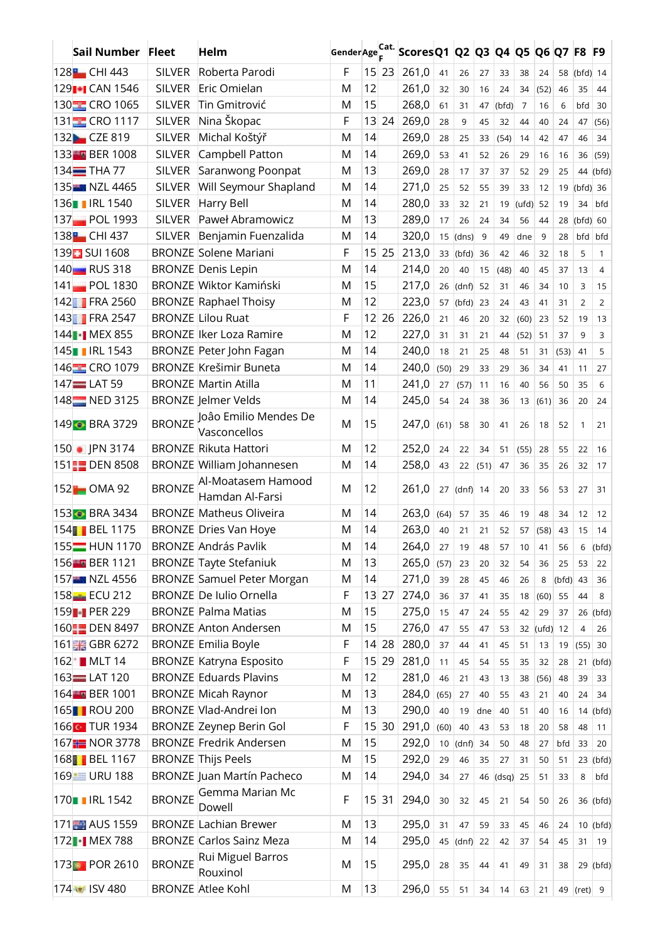| Sail Number Fleet         |               | Helm                                  | Gender Age Cat. |            |         | Scores Q1   Q2   Q3   Q4   Q5   Q6   Q7   F8   F9 |      |            |      |            |       |            |            |                |                |
|---------------------------|---------------|---------------------------------------|-----------------|------------|---------|---------------------------------------------------|------|------------|------|------------|-------|------------|------------|----------------|----------------|
| 128 <b>1</b> CHI 443      | <b>SILVER</b> | Roberta Parodi                        | F               |            | $15$ 23 | 261,0                                             | 41   | 26         | 27   | 33         | 38    | 24         |            | 58 (bfd) 14    |                |
| 129 <sup>1</sup> CAN 1546 | <b>SILVER</b> | Eric Omielan                          | M               | 12         |         | 261,0                                             | 32   | 30         | 16   | 24         | 34    | (52)       | 46         | 35             | 44             |
| 130 CRO 1065              | <b>SILVER</b> | Tin Gmitrović                         | M               | 15         |         | 268,0                                             | 61   | 31         | 47   | (bfd)      | 7     | 16         | 6          | bfd            | 30             |
| 131 CRO 1117              | <b>SILVER</b> | Nina Škopac                           | F               | 13         | 24      | 269,0                                             | 28   | 9          | 45   | 32         | 44    | 40         | 24         | 47             | (56)           |
| 132 CZE 819               | <b>SILVER</b> | Michal Koštýř                         | M               | 14         |         | 269,0                                             | 28   | 25         | 33   | (54)       | 14    | 42         | 47         | 46             | 34             |
| 133 BER 1008              | <b>SILVER</b> | Campbell Patton                       | M               | 14         |         | 269,0                                             | 53   | 41         | 52   | 26         | 29    | 16         | 16         | 36             | (59)           |
| 134 <sup>THA</sup> 77     | <b>SILVER</b> | Saranwong Poonpat                     | M               | 13         |         | 269,0                                             | 28   | 17         | 37   | 37         | 52    | 29         | 25         | 44             | (bfd)          |
| 135 NZL 4465              | <b>SILVER</b> | Will Seymour Shapland                 | M               | 14         |         | 271,0                                             | 25   | 52         | 55   | 39         | 33    | 12         | 19         | $(bfd)$ 36     |                |
| 136 RL 1540               | <b>SILVER</b> | Harry Bell                            | M               | 14         |         | 280,0                                             | 33   | 32         | 21   | 19         | (ufd) | 52         | 19         | 34             | bfd            |
| 137 POL 1993              | <b>SILVER</b> | Paweł Abramowicz                      | M               | 13         |         | 289,0                                             | 17   | 26         | 24   | 34         | 56    | 44         | 28         | $(bfd)$ 60     |                |
| 138 <b>H</b> CHI 437      | <b>SILVER</b> | Benjamin Fuenzalida                   | M               | 14         |         | 320,0                                             | 15   | (dns)      | 9    | 49         | dne   | 9          | 28         | bfd            | bfd            |
| 139 SUI 1608              |               | <b>BRONZE Solene Mariani</b>          | F               | 15         | 25      | 213,0                                             | 33   | (bfd)      | 36   | 42         | 46    | 32         | 18         | 5              | $\mathbf{1}$   |
| 140 RUS 318               |               | <b>BRONZE Denis Lepin</b>             | M               | 14         |         | 214,0                                             | 20   | 40         | 15   | (48)       | 40    | 45         | 37         | 13             | 4              |
| 141 POL 1830              |               | <b>BRONZE Wiktor Kamiński</b>         | M               | 15         |         | 217,0                                             | 26   | (dnf)      | 52   | 31         | 46    | 34         | 10         | 3              | 15             |
| 142 FRA 2560              |               | <b>BRONZE Raphael Thoisy</b>          | M               | 12         |         | 223,0                                             | 57   | (bfd)      | 23   | 24         | 43    | 41         | 31         | 2              | $\overline{2}$ |
| 143 FRA 2547              |               | <b>BRONZE</b> Lilou Ruat              | F               |            | $12$ 26 | 226,0                                             | 21   | 46         | 20   | 32         | (60)  | 23         | 52         | 19             | 13             |
| 144   MEX 855             |               | <b>BRONZE Iker Loza Ramire</b>        | M               | 12         |         | 227,0                                             | 31   | 31         | 21   | 44         | (52)  | 51         | 37         | 9              | $\overline{3}$ |
| 145   RL 1543             |               | BRONZE Peter John Fagan               | M               | 14         |         | 240,0                                             | 18   | 21         | 25   | 48         | 51    | 31         | (53)       | 41             | 5              |
| 146 CRO 1079              |               | <b>BRONZE Krešimir Buneta</b>         | M               | 14         |         | 240,0                                             | (50) | 29         | 33   | 29         | 36    | 34         | 41         | 11             | 27             |
| 147 LAT 59                |               | <b>BRONZE Martin Atilla</b>           | M               | 11         |         | 241,0                                             | 27   | (57)       | 11   | 16         | 40    | 56         | 50         | 35             | 6              |
| 148 NED 3125              |               | <b>BRONZE</b> Jelmer Velds            | M               | 14         |         | 245,0                                             | 54   | 24         | 38   | 36         | 13    | (61)       | 36         | 20             | 24             |
| 149 BRA 3729              | <b>BRONZE</b> | Joâo Emilio Mendes De<br>Vasconcellos | M               | 15         |         | 247,0                                             | (61) | 58         | 30   | 41         | 26    | 18         | 52         | 1              | 21             |
| 150   PN 3174             |               | <b>BRONZE Rikuta Hattori</b>          | M               | 12         |         | 252,0                                             | 24   | 22         | 34   | 51         | (55)  | 28         | 55         | 22             | 16             |
| 151 <b>F DEN 8508</b>     |               | BRONZE William Johannesen             | M               | 14         |         | 258,0                                             | 43   | 22         | (51) | 47         | 36    | 35         | 26         | 32             | 17             |
| 152 <b>1</b> OMA 92       | <b>BRONZE</b> | Al-Moatasem Hamood<br>Hamdan Al-Farsi | M               | 12         |         | 261,0                                             | 27   | $(dnf)$ 14 |      | 20         | 33    | 56         | 53         | 27             | 31             |
| 153 BRA 3434              |               | <b>BRONZE Matheus Oliveira</b>        | M               | 14         |         | 263,0                                             | (64) | 57         | 35   | 46         | 19    | 48         | 34         | 12             | 12             |
| 154 BEL 1175              |               | <b>BRONZE Dries Van Hoye</b>          | M               | 14         |         | 263,0                                             | 40   | 21         | 21   | 52         | 57    | (58)       | 43         | 15             | 14             |
| 155 <sup>-</sup> HUN 1170 |               | <b>BRONZE András Pavlik</b>           | M               | 14         |         | 264,0                                             | 27   | 19         | 48   | 57         | 10    | 41         | 56         | 6              | (bfd)          |
| 156 BER 1121              |               | <b>BRONZE Tayte Stefaniuk</b>         | M               | 13         |         | 265,0                                             | (57) | 23         | 20   | 32         | 54    | 36         | 25         | 53             | 22             |
| 157 NZL 4556              |               | <b>BRONZE Samuel Peter Morgan</b>     | M               | 14         |         | 271,0                                             | 39   | 28         | 45   | 46         | 26    | 8          | $(bfd)$ 43 |                | 36             |
| 158-FECU 212              |               | <b>BRONZE</b> De Iulio Ornella        | F               |            | 13 27   | 274,0                                             | 36   | 37         | 41   | 35         | 18    | (60)       | 55         | 44             | 8              |
| 159 PER 229               |               | <b>BRONZE Palma Matias</b>            | M               | 15         |         | 275,0                                             | 15   | 47         | 24   | 55         | 42    | 29         | 37         |                | 26 (bfd)       |
| 160 DEN 8497              |               | <b>BRONZE Anton Andersen</b>          | M               | 15         |         | 276,0                                             | 47   | 55         | 47   | 53         | 32    | $(ufd)$ 12 |            | $\overline{4}$ | 26             |
| 161 GBR 6272              |               | <b>BRONZE Emilia Boyle</b>            | F               |            | 14 28   | 280,0                                             | 37   | 44         | 41   | 45         | 51    | 13         | 19         | (55)           | 30             |
| 162 MLT 14                |               | <b>BRONZE Katryna Esposito</b>        | F               | 15         | 29      | 281,0                                             | 11   | 45         | 54   | 55         | 35    | 32         | 28         | 21             | (bfd)          |
| $163$ $\equiv$ LAT 120    |               | <b>BRONZE Eduards Plavins</b>         | M               | 12         |         | 281,0                                             | 46   | 21         | 43   | 13         | 38    | (56)       | 48         | 39             | 33             |
| 164 BER 1001              |               | <b>BRONZE Micah Raynor</b>            | M               | 13         |         | 284,0                                             | (65) | 27         | 40   | 55         | 43    | 21         | 40         | 24             | 34             |
| 165 <b>ROU 200</b>        |               | BRONZE Vlad-Andrei Ion                | M               | 13         |         | 290,0                                             | 40   | 19         | dne  | 40         | 51    | 40         | 16         |                | $14$ (bfd)     |
| 166 G TUR 1934            |               | <b>BRONZE Zeynep Berin Gol</b>        | F               |            | 15 30   | 291,0                                             | (60) | 40         | 43   | 53         | 18    | 20         | 58         | 48             | 11             |
| 167 NOR 3778              |               | <b>BRONZE Fredrik Andersen</b>        | M               | 15         |         | 292,0                                             | 10   | (dnf)      | 34   | 50         | 48    | 27         | bfd        | 33             | 20             |
| 168 BEL 1167              |               | <b>BRONZE</b> Thijs Peels             | M               | 15         |         | 292,0                                             | 29   | 46         | 35   | 27         | 31    | 50         | 51         |                | $23$ (bfd)     |
| 169 URU 188               |               | <b>BRONZE Juan Martín Pacheco</b>     | M               | 14         |         | 294,0                                             | 34   | 27         | 46   | $(dsq)$ 25 |       | 51         | 33         | 8              | bfd            |
| 170   IRL 1542            | <b>BRONZE</b> | Gemma Marian Mc<br>Dowell             | F               | $15 \, 31$ |         | 294,0                                             | 30   | 32         | 45   | 21         | 54    | 50         | 26         |                | 36 (bfd)       |
| 171 AUS 1559              |               | <b>BRONZE Lachian Brewer</b>          | M               | 13         |         | 295,0                                             | 31   | 47         | 59   | 33         | 45    | 46         | 24         |                | $10$ (bfd)     |
| 172 MEX 788               |               | <b>BRONZE</b> Carlos Sainz Meza       | M               | 14         |         | 295,0                                             |      | $45$ (dnf) | 22   | 42         | 37    | 54         | 45         | 31             | 19             |
| 173 <b>8</b> POR 2610     | <b>BRONZE</b> | Rui Miguel Barros<br>Rouxinol         | M               | 15         |         | 295,0                                             | 28   | 35         | 44   | 41         | 49    | 31         | 38         |                | 29 (bfd)       |
| 174 3 ISV 480             |               | <b>BRONZE Atlee Kohl</b>              | M               | 13         |         | 296,0                                             | 55   | 51         | 34   | 14         | 63    | 21         |            | 49 (ret) 9     |                |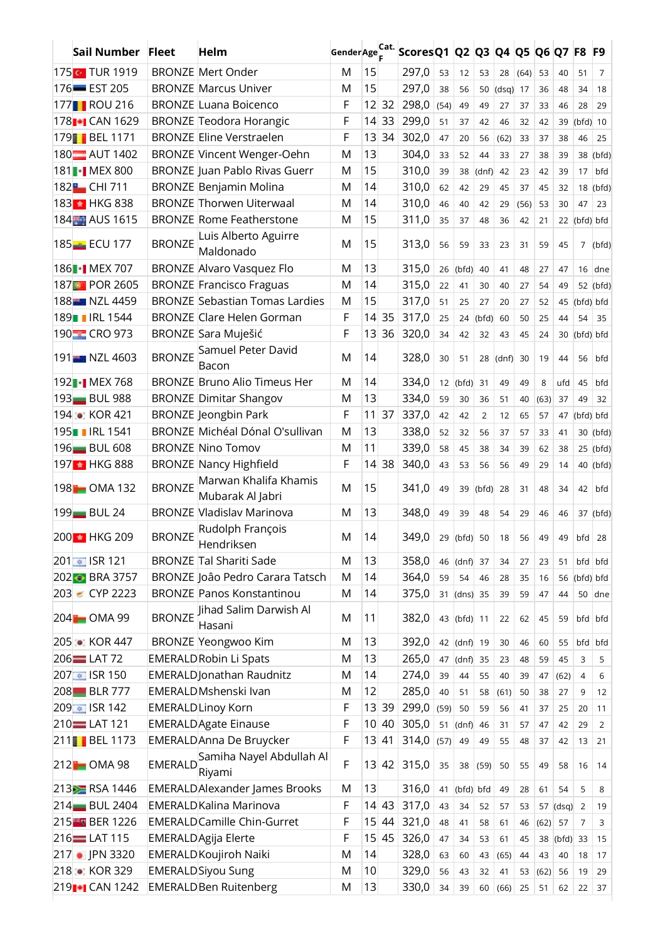| Sail Number Fleet           |                | Helm                                      | Gender Age Cat. |                 |         | Scores Q1   Q2   Q3   Q4   Q5 |      |             |                |            |      |      | Q6 Q7 F8 F9 |                |                |
|-----------------------------|----------------|-------------------------------------------|-----------------|-----------------|---------|-------------------------------|------|-------------|----------------|------------|------|------|-------------|----------------|----------------|
| 175 <b>TUR 1919</b>         |                | <b>BRONZE Mert Onder</b>                  | M               | 15              |         | 297,0                         | 53   | 12          | 53             | 28         | (64) | 53   | 40          | 51             | $\overline{7}$ |
| 176-EST 205                 |                | <b>BRONZE Marcus Univer</b>               | M               | 15              |         | 297,0                         | 38   | 56          | 50             | $(dsq)$ 17 |      | 36   | 48          | 34             | 18             |
| 177 <b>ROU 216</b>          |                | <b>BRONZE Luana Boicenco</b>              | F               |                 | $12$ 32 | 298,0                         | (54) | 49          | 49             | 27         | 37   | 33   | 46          | 28             | 29             |
| 178 <sub>1</sub> CAN 1629   |                | <b>BRONZE Teodora Horangic</b>            | F               | 14              | 33      | 299,0                         | 51   | 37          | 42             | 46         | 32   | 42   | 39          | $(bfd)$ 10     |                |
| 179 BEL 1171                |                | <b>BRONZE Eline Verstraelen</b>           | F               | 13              | 34      | 302,0                         | 47   | 20          | 56             | (62)       | 33   | 37   | 38          | 46             | 25             |
| 180 AUT 1402                |                | <b>BRONZE Vincent Wenger-Oehn</b>         | M               | 13              |         | 304,0                         | 33   | 52          | 44             | 33         | 27   | 38   | 39          |                | 38 (bfd)       |
| 181   MEX 800               |                | <b>BRONZE</b> Juan Pablo Rivas Guerr      | M               | 15              |         | 310,0                         | 39   | 38          | (dnf)          | 42         | 23   | 42   | 39          | 17             | bfd            |
| 182 <b>1</b> CHI 711        |                | <b>BRONZE Benjamin Molina</b>             | M               | 14              |         | 310,0                         | 62   | 42          | 29             | 45         | 37   | 45   | 32          |                | $18$ (bfd)     |
| 183 HKG 838                 |                | <b>BRONZE</b> Thorwen Uiterwaal           | M               | 14              |         | 310,0                         | 46   | 40          | 42             | 29         | (56) | 53   | 30          | 47             | 23             |
| 184 AUS 1615                |                | <b>BRONZE Rome Featherstone</b>           | M               | 15              |         | 311,0                         | 35   | 37          | 48             | 36         | 42   | 21   |             | 22 (bfd) bfd   |                |
|                             | <b>BRONZE</b>  | Luis Alberto Aguirre                      |                 |                 |         |                               |      |             |                |            |      |      |             |                |                |
| 185 ECU 177                 |                | Maldonado                                 | M               | 15              |         | 313,0                         | 56   | 59          | 33             | 23         | 31   | 59   | 45          | $\overline{7}$ | (bfd)          |
| 186   MEX 707               |                | <b>BRONZE Alvaro Vasquez Flo</b>          | M               | 13              |         | 315,0                         | 26   | (bfd)       | 40             | 41         | 48   | 27   | 47          |                | $16$ dne       |
| 187 <b>8</b> POR 2605       |                | <b>BRONZE Francisco Fraguas</b>           | M               | 14              |         | 315,0                         | 22   | 41          | 30             | 40         | 27   | 54   | 49          |                | 52 (bfd)       |
| 188 NZL 4459                |                | <b>BRONZE Sebastian Tomas Lardies</b>     | M               | 15              |         | 317,0                         | 51   | 25          | 27             | 20         | 27   | 52   | 45          | (bfd) bfd      |                |
| 189   IRL 1544              |                | <b>BRONZE Clare Helen Gorman</b>          | F               | 4               | 35      | 317,0                         | 25   | 24          | (bfd)          | 60         | 50   | 25   | 44          | 54             | 35             |
| 190 CRO 973                 |                | BRONZE Sara Muješić                       | F               | 13              | 36      | 320,0                         | 34   | 42          | 32             | 43         | 45   | 24   | 30          | (bfd) bfd      |                |
| 191 NZL 4603                | <b>BRONZE</b>  | Samuel Peter David<br>Bacon               | M               | 14              |         | 328,0                         | 30   | 51          | 28             | $(dnf)$ 30 |      | 19   | 44          | 56             | bfd            |
| 192   MEX 768               |                | <b>BRONZE Bruno Alio Timeus Her</b>       | M               | 14              |         | 334,0                         |      | $12$ (bfd)  | 31             | 49         | 49   | 8    | ufd         | 45             | bfd            |
| 193 BUL 988                 |                | <b>BRONZE Dimitar Shangov</b>             | М               | 13              |         | 334,0                         | 59   | 30          | 36             | 51         | 40   | (63) | 37          | 49             | 32             |
| 194 C KOR 421               |                | <b>BRONZE</b> Jeongbin Park               | F               | 11              | 37      | 337,0                         | 42   | 42          | $\overline{2}$ | 12         | 65   | 57   | 47          | (bfd) bfd      |                |
| 195 RL 1541                 |                | BRONZE Michéal Dónal O'sullivan           | M               | 13              |         | 338,0                         | 52   | 32          | 56             | 37         | 57   | 33   | 41          | 30             | (bfd)          |
| 196 BUL 608                 |                | <b>BRONZE Nino Tomov</b>                  | M               | 11              |         | 339,0                         | 58   | 45          | 38             | 34         | 39   | 62   | 38          |                | $25$ (bfd)     |
| 197 HKG 888                 |                | <b>BRONZE Nancy Highfield</b>             | F               |                 | 14 38   | 340,0                         | 43   | 53          | 56             | 56         | 49   | 29   | 14          |                | 40 (bfd)       |
| 198 OMA 132                 | <b>BRONZE</b>  | Marwan Khalifa Khamis<br>Mubarak Al Jabri | М               | 15              |         | 341,0                         | 49   | 39          | $(bfd)$ 28     |            | 31   | 48   | 34          | 42             | bfd            |
| 199 <b>BUL 24</b>           |                | <b>BRONZE Vladislav Marinova</b>          | M               | 13              |         | 348,0                         | 49   | 39          | 48             | 54         | 29   | 46   | 46          |                | 37 (bfd)       |
| 200 + HKG 209               | <b>BRONZE</b>  | Rudolph François<br>Hendriksen            | M               | 14              |         | 349.0                         |      | 29 (bfd) 50 |                | 18         | 56   | 49   | 49          | $bf d$ 28      |                |
| 201 ■ ISR 121               |                | <b>BRONZE Tal Shariti Sade</b>            | M               | 13              |         | 358,0                         | 46   | (dnf)       | 37             | 34         | 27   | 23   | 51          |                | bfd bfd        |
| 202 BRA 3757                |                | BRONZE João Pedro Carara Tatsch           | M               | 14              |         | 364,0                         | 59   | 54          | 46             | 28         | 35   | 16   | 56          | (bfd) bfd      |                |
| 203 € CYP 2223              |                | <b>BRONZE Panos Konstantinou</b>          | M               | 14              |         | 375,0                         | 31   | $(dns)$ 35  |                | 39         | 59   | 47   | 44          | 50             | dne            |
| 204 OMA 99                  | <b>BRONZE</b>  | Jihad Salim Darwish Al<br>Hasani          | M               | 11              |         | 382,0                         |      | 43 (bfd) 11 |                | 22         | 62   | 45   | 59          | bfd bfd        |                |
| 205 CKOR 447                |                | <b>BRONZE Yeongwoo Kim</b>                | M               | 13              |         | 392,0                         |      | 42 (dnf) 19 |                | 30         | 46   | 60   | 55          | bfd            | bfd            |
| 206 LAT 72                  |                | <b>EMERALDRobin Li Spats</b>              | M               | 13              |         | 265,0                         | 47   | (dnf)       | 35             | 23         | 48   | 59   | 45          | 3              | 5              |
| 207 ± ISR 150               |                | <b>EMERALD</b> Jonathan Raudnitz          | M               | 14              |         | 274,0                         | 39   | 44          | 55             | 40         | 39   | 47   | (62)        | $\overline{4}$ | 6              |
| 208 BLR 777                 |                | EMERALD Mshenski Ivan                     | M               | 12              |         | 285,0                         | 40   | 51          | 58             | (61)       | 50   | 38   | 27          | 9              | 12             |
| 209 ± ISR 142               |                | <b>EMERALDLinoy Korn</b>                  | F               | 13              | 39      | 299,0                         | (59) | 50          | 59             | 56         | 41   | 37   | 25          | 20             | 11             |
| 210 LAT 121                 |                | <b>EMERALD</b> Agate Einause              | F               | 10 <sup>1</sup> | 40      | 305,0                         | 51   | (dnf)       | 46             | 31         | 57   | 47   | 42          | 29             | 2              |
| 211 BEL 1173                |                | <b>EMERALDAnna De Bruycker</b>            | F               | 13              | 41      | 314,0                         | (57) | 49          | 49             | 55         | 48   | 37   | 42          | 13             | 21             |
| 212 OMA 98                  | <b>EMERALD</b> | Samiha Nayel Abdullah Al<br>Riyami        | F               | 13              | 42      | 315,0                         | 35   | 38          | (59)           | 50         | 55   | 49   | 58          | 16             | 14             |
| 213 RSA 1446                |                | <b>EMERALDAlexander James Brooks</b>      | M               | 13              |         | 316,0                         | 41   | (bfd) bfd   |                | 49         | 28   | 61   | 54          | 5              | 8              |
| 214 BUL 2404                |                | <b>EMERALD Kalina Marinova</b>            | F               |                 | 14 43   | 317,0                         | 43   | 34          | 52             | 57         | 53   | 57   | $(dsq)$ 2   |                | 19             |
| 215 BER 1226                |                | <b>EMERALD</b> Camille Chin-Gurret        | F               | 15              | 44      | 321,0                         | 48   | 41          | 58             | 61         | 46   | (62) | 57          | 7              | 3              |
| 216 LAT 115                 |                | EMERALD Agija Elerte                      | F               | 15              | 45      | 326,0                         | 47   | 34          | 53             | 61         | 45   | 38   | $(bfd)$ 33  |                | 15             |
| 217   JPN 3320              |                | EMERALD Koujiroh Naiki                    | M               | 14              |         | 328,0                         | 63   | 60          | 43             | (65)       | 44   | 43   | 40          | 18             | 17             |
| 218 C KOR 329               |                | <b>EMERALDSiyou Sung</b>                  | M               | 10              |         | 329,0                         | 56   | 43          | 32             | 41         | 53   | (62) | 56          | 19             | 29             |
| 219 <sup>-</sup> 1 CAN 1242 |                | <b>EMERALD Ben Ruitenberg</b>             | M               | 13              |         | 330,0                         | 34   | 39          | 60             | (66)       | 25   | 51   | 62          | 22             | 37             |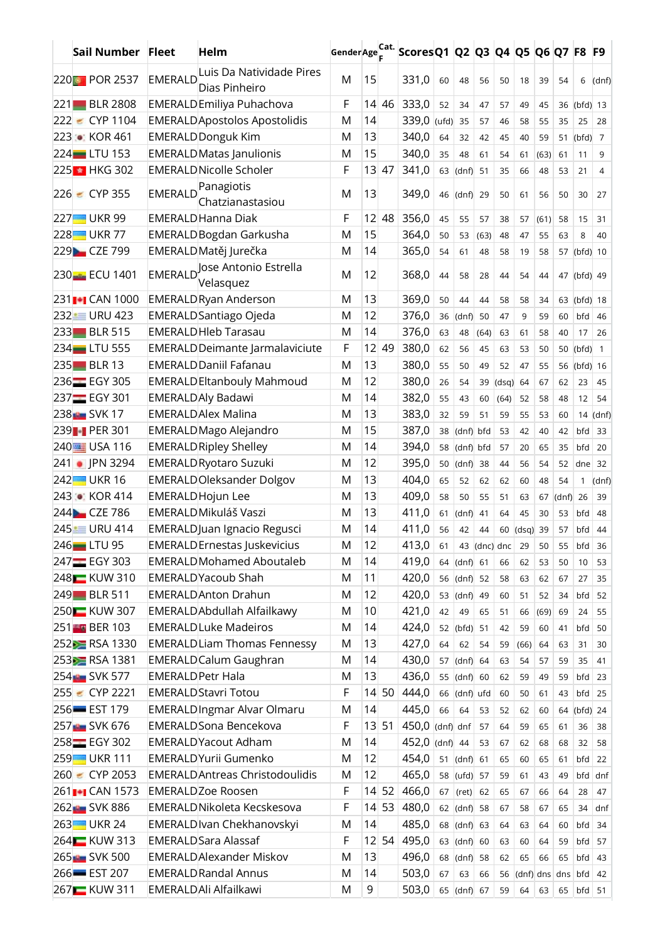| Sail Number Fleet           |                          | Helm                                                      | Gender Age Cat. |                 |              | Scores Q1   Q2   Q3   Q4   Q5   Q6   Q7   F8   F9 |       |                |      |              |                   |            |            |              |                |
|-----------------------------|--------------------------|-----------------------------------------------------------|-----------------|-----------------|--------------|---------------------------------------------------|-------|----------------|------|--------------|-------------------|------------|------------|--------------|----------------|
| 220 POR 2537                | <b>EMERALD</b>           | Luis Da Natividade Pires                                  | M               | 15              |              | 331,0                                             | 60    | 48             | 56   | 50           | 18                | 39         | 54         | 6            | (dnf)          |
|                             |                          | Dias Pinheiro                                             |                 |                 |              |                                                   |       |                |      |              |                   |            |            |              |                |
| 221 BLR 2808                |                          | EMERALDEmiliya Puhachova                                  | F               |                 | 14 46        | 333,0                                             | 52    | 34             | 47   | 57           | 49                | 45         |            | 36 (bfd) 13  |                |
| $\epsilon$ CYP 1104<br>222  |                          | <b>EMERALD</b> Apostolos Apostolidis                      | M               | 14              |              | 339,0                                             | (ufd) | 35             | 57   | 46           | 58                | 55         | 35         | 25           | 28             |
| 223 C KOR 461               |                          | <b>EMERALD Donguk Kim</b>                                 | M               | 13              |              | 340,0                                             | 64    | 32             | 42   | 45           | 40                | 59         | 51         | (bfd)        | $\overline{7}$ |
| $224$ LTU 153               |                          | <b>EMERALD Matas Janulionis</b>                           | M               | 15              |              | 340,0                                             | 35    | 48             | 61   | 54           | 61                | (63)       | 61         | 11           | 9              |
| 225 HKG 302                 |                          | <b>EMERALD Nicolle Scholer</b>                            | F               |                 | $13 \mid 47$ | 341,0                                             | 63    | $(dn)$ 51      |      | 35           | 66                | 48         | 53         | 21           | 4              |
| 226 € CYP 355               | <b>EMERALD</b>           | Panagiotis<br>Chatzianastasiou                            | M               | 13              |              | 349,0                                             | 46    | $(dnf)$ 29     |      | 50           | 61                | 56         | 50         | 30           | 27             |
| 227 UKR 99                  |                          | <b>EMERALD Hanna Diak</b>                                 | F               | 12 <sup>2</sup> | 48           | 356,0                                             | 45    | 55             | 57   | 38           | 57                | (61)       | 58         | 15           | 31             |
| 228 UKR 77                  |                          | <b>EMERALD Bogdan Garkusha</b>                            | M               | 15              |              | 364,0                                             | 50    | 53             | (63) | 48           | 47                | 55         | 63         | 8            | 40             |
| 229 CZE 799                 |                          | EMERALD Matěj Jurečka                                     | M               | 14              |              | 365,0                                             | 54    | 61             | 48   | 58           | 19                | 58         | 57         | $(bfd)$ 10   |                |
| 230 ECU 1401                |                          | EMERALD, Jose Antonio Estrella<br>Velasquez               | M               | 12              |              | 368,0                                             | 44    | 58             | 28   | 44           | 54                | 44         |            | 47 (bfd) 49  |                |
| 231 <sup>-</sup> 1 CAN 1000 |                          | <b>EMERALDRyan Anderson</b>                               | M               | 13              |              | 369,0                                             | 50    | 44             | 44   | 58           | 58                | 34         |            | 63 (bfd) 18  |                |
| 232 URU 423                 |                          | <b>EMERALD</b> Santiago Ojeda                             | M               | 12              |              | 376,0                                             | 36    | (dnf)          | 50   | 47           | 9                 | 59         | 60         | bfd          | 46             |
| 233 BLR 515                 |                          | <b>EMERALD Hleb Tarasau</b>                               | M               | 14              |              | 376,0                                             | 63    | 48             | (64) | 63           | 61                | 58         | 40         | 17           | 26             |
| 234 LTU 555                 |                          | <b>EMERALD Deimante Jarmalaviciute</b>                    | F               | 12              | 49           | 380,0                                             | 62    | 56             | 45   | 63           | 53                | 50         | 50         | (bfd)        | $\mathbf{1}$   |
| 235 BLR 13                  |                          | <b>EMERALD Daniil Fafanau</b>                             | M               | 13              |              | 380,0                                             | 55    | 50             | 49   | 52           | 47                | 55         | 56         | (bfd)        | 16             |
| 236 EGY 305                 |                          | <b>EMERALD Eltanbouly Mahmoud</b>                         | M               | 12              |              | 380,0                                             | 26    | 54             | 39   | (dsq)        | 64                | 67         | 62         | 23           | 45             |
| 237 EGY 301                 |                          | <b>EMERALDAly Badawi</b>                                  | M               | 14              |              | 382,0                                             | 55    | 43             | 60   | (64)         | 52                | 58         | 48         | 12           | 54             |
| 238 SVK 17                  |                          | <b>EMERALDAlex Malina</b>                                 | M               | 13              |              | 383,0                                             | 32    | 59             | 51   | 59           | 55                | 53         | 60         | 14           | (dnf)          |
| 239 PER 301                 |                          | EMERALD Mago Alejandro                                    | M               | 15              |              | 387,0                                             | 38    | (dnf) bfd      |      | 53           | 42                | 40         | 42         | bfd          | 33             |
| 240 USA 116                 |                          | <b>EMERALD Ripley Shelley</b>                             | M               | 14              |              | 394,0                                             | 58    | $(dnf)$ bfd    |      | 57           | 20                | 65         | 35         | bfd          | 20             |
| 241   PN 3294               |                          | <b>EMERALD Ryotaro Suzuki</b>                             | M               | 12              |              | 395,0                                             | 50    | (dnf)          | 38   | 44           | 56                | 54         | 52         | dne          | 32             |
| 242 UKR 16                  |                          | <b>EMERALDOleksander Dolgov</b>                           | M               | 13              |              | 404,0                                             | 65    | 52             | 62   | 62           | 60                | 48         | 54         | $\mathbf{1}$ | (dnf)          |
| 243 C KOR 414               |                          | EMERALD Hojun Lee                                         | M               | 13              |              | 409,0                                             | 58    | 50             | 55   | 51           | 63                | 67         | $(dnf)$ 26 |              | 39             |
| 244 CZE 786                 |                          | <b>EMERALD Mikuláš Vaszi</b>                              | M               | 13              |              | 411,0                                             | 61    | (dnf)          | 41   | 64           | 45                | 30         | 53         | bfd          | 48             |
| 245 URU 414                 |                          | EMERALDJuan Ignacio Regusci                               | M               | 14              |              | 411,0                                             | 56    | 42             | 44   | 60           | $(dsq)$ 39        |            | 57         | bfd          | 44             |
| 246 LTU 95                  |                          | <b>EMERALD</b> Ernestas Juskevicius                       | M               | 12              |              | 413,0                                             | 61    |                |      | 43 (dnc) dnc | 29                | 50         | 55         | bfd          | 36             |
| 247 EGY 303                 |                          | <b>EMERALD Mohamed Aboutaleb</b>                          | M               | 14              |              | 419,0                                             |       | 64 (dnf) 61    |      | 66           | 62                | 53         | 50         | 10           | 53             |
| 248 KUW 310                 |                          | <b>EMERALDYacoub Shah</b>                                 | M               | 11              |              | 420,0                                             |       | 56 (dnf) 52    |      | 58           | 63                | 62         | 67         | 27           | 35             |
| 249 BLR 511                 |                          | <b>EMERALD</b> Anton Drahun                               | M               | 12              |              | 420,0                                             |       | 53 $(dnf)$     | 49   | 60           | 51                | 52         | 34         | bfd          | 52             |
| 250 KUW 307                 |                          | EMERALD Abdullah Alfailkawy                               | M               | 10              |              | 421,0                                             | 42    | 49             | 65   |              |                   |            |            |              | 55             |
| 251 BER 103                 |                          | <b>EMERALDLuke Madeiros</b>                               | M               | 14              |              | 424,0                                             |       | 52 (bfd) 51    |      | 51<br>42     | 66<br>59          | (69)<br>60 | 69<br>41   | 24<br>bfd    | 50             |
| 252 RSA 1330                |                          | <b>EMERALDLiam Thomas Fennessy</b>                        | M               | 13              |              | 427,0                                             | 64    | 62             | 54   | 59           | (66)              | 64         | 63         | 31           | 30             |
| 253 RSA 1381                |                          | <b>EMERALD</b> Calum Gaughran                             | M               | 14              |              | 430,0                                             |       | 57 $(dnf)$     | 64   | 63           | 54                | 57         | 59         | 35           | 41             |
| 254 SVK 577                 | <b>EMERALD Petr Hala</b> |                                                           | M               | 13              |              | 436,0                                             | 55    | (dnf)          | 60   | 62           | 59                | 49         | 59         | bfd          | 23             |
| $255 - CYP 2221$            |                          | <b>EMERALD Stavri Totou</b>                               | F               |                 | 14 50        | 444,0                                             |       | $66$ (dnf) ufd |      | 60           | 50                | 61         | 43         | bfd          | 25             |
| $256$ $-$ EST 179           |                          | <b>EMERALDIngmar Alvar Olmaru</b>                         | M               | 14              |              | 445,0                                             | 66    | 64             | 53   | 52           | 62                | 60         | 64         | $(bfd)$ 24   |                |
| 257 SVK 676                 |                          | <b>EMERALD</b> Sona Bencekova                             | F               |                 | 13 51        | $450,0$ (dnf) dnf                                 |       |                |      |              |                   |            |            |              |                |
| 258 EGY 302                 |                          | <b>EMERALD</b> Yacout Adham                               | M               | 14              |              | 452,0 (dnf) 44                                    |       |                | 57   | 64           | 59                | 65         | 61         | 36           | 38             |
| 259 UKR 111                 |                          | <b>EMERALDYurii Gumenko</b>                               | M               | 12              |              | 454,0                                             |       | 51 (dnf) 61    | 53   | 67           | 62                | 68         | 68         | 32           | 58             |
| 260 € CYP 2053              |                          | <b>EMERALD</b> Antreas Christodoulidis                    | M               | 12              |              | 465,0                                             |       |                |      | 65           | 60                | 65         | 61         | bfd          | 22             |
| 261 <b>••</b> CAN 1573      |                          | <b>EMERALDZoe Roosen</b>                                  | F               |                 | 14 52        | 466,0                                             |       | 58 (ufd) 57    |      | 59           | 61                | 43         | 49         | bfd          | dnf            |
|                             |                          | <b>EMERALDNikoleta Kecskesova</b>                         | F               |                 | 14 53        | 480,0                                             | 67    | $ $ (ret) 62   |      | 65           | 67                | 66         | 64         | 28           | 47             |
| 262 SVK 886                 |                          |                                                           |                 |                 |              |                                                   |       | 62 (dnf) 58    |      | 67           | 58                | 67         | 65         | 34           | dnf            |
| 263 UKR 24                  |                          | EMERALD Ivan Chekhanovskyi<br><b>EMERALD</b> Sara Alassaf | M               | 14              |              | 485,0                                             | 68    | $(dnf)$ 63     |      | 64           | 63                | 64         | 60         | bfd          | 34             |
| 264 KUW 313                 |                          | <b>EMERALDAlexander Miskov</b>                            | F               | 13              | 12 54        | 495,0                                             |       | 63 (dnf) 60    |      | 63           | 60                | 64         | 59         | bfd          | 57             |
| 265 SVK 500                 |                          |                                                           | M               |                 |              | 496,0                                             | 68    | $(dnf)$ 58     |      | 62           | 65                | 66         | 65         | bfd          | 43             |
| 266-EST 207                 |                          | <b>EMERALDRandal Annus</b>                                | M               | 14              |              | 503,0                                             | 67    | 63             | 66   | 56           | (dnf) dns dns bfd |            |            |              | 42             |
| 267   KUW 311               |                          | EMERALDAI Alfailkawi                                      | M               | 9               |              | 503,0                                             |       | 65 (dnf) 67    |      | 59           | 64                | 63         | 65         | $bfd$ 51     |                |